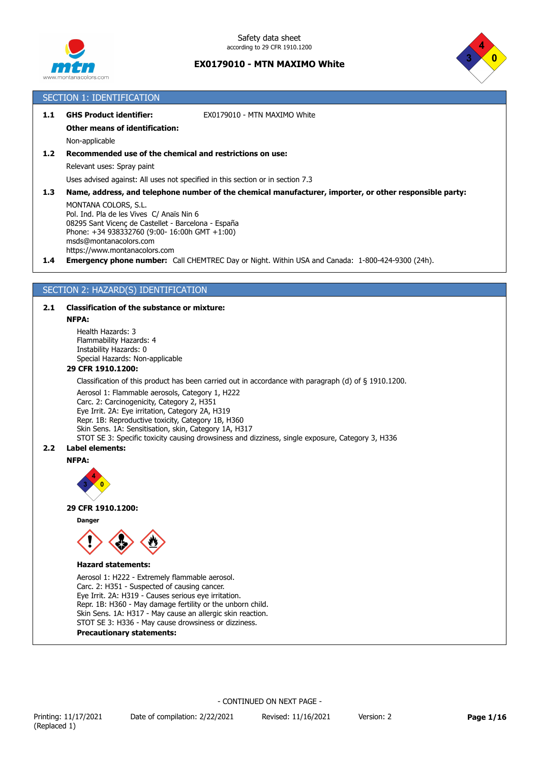



# SECTION 1: IDENTIFICATION

| 1.1 | <b>GHS Product identifier:</b>        | EX0179010 - MTN MAXIMO White |
|-----|---------------------------------------|------------------------------|
|     | <b>Other means of identification:</b> |                              |
|     | Non-applicable                        |                              |

# **1.2 Recommended use of the chemical and restrictions on use:**

Relevant uses: Spray paint

Uses advised against: All uses not specified in this section or in section 7.3

**1.3 Name, address, and telephone number of the chemical manufacturer, importer, or other responsible party:**

MONTANA COLORS, S.L. Pol. Ind. Pla de les Vives C/ Anaïs Nin 6 08295 Sant Vicenç de Castellet - Barcelona - España Phone: +34 938332760 (9:00- 16:00h GMT +1:00) msds@montanacolors.com https://www.montanacolors.com

**1.4 Emergency phone number:** Call CHEMTREC Day or Night. Within USA and Canada: 1-800-424-9300 (24h).

# SECTION 2: HAZARD(S) IDENTIFICATION

# **2.1 Classification of the substance or mixture:**

#### **NFPA:**

Health Hazards: 3 Flammability Hazards: 4 Instability Hazards: 0 Special Hazards: Non-applicable

### **29 CFR 1910.1200:**

Classification of this product has been carried out in accordance with paragraph (d) of § 1910.1200.

Aerosol 1: Flammable aerosols, Category 1, H222 Carc. 2: Carcinogenicity, Category 2, H351 Eye Irrit. 2A: Eye irritation, Category 2A, H319 Repr. 1B: Reproductive toxicity, Category 1B, H360 Skin Sens. 1A: Sensitisation, skin, Category 1A, H317 STOT SE 3: Specific toxicity causing drowsiness and dizziness, single exposure, Category 3, H336

### **2.2 Label elements:**

#### **NFPA:**



#### **29 CFR 1910.1200:**

**Danger**



### **Hazard statements:**

Aerosol 1: H222 - Extremely flammable aerosol. Carc. 2: H351 - Suspected of causing cancer. Eye Irrit. 2A: H319 - Causes serious eye irritation. Repr. 1B: H360 - May damage fertility or the unborn child. Skin Sens. 1A: H317 - May cause an allergic skin reaction. STOT SE 3: H336 - May cause drowsiness or dizziness.

**Precautionary statements:**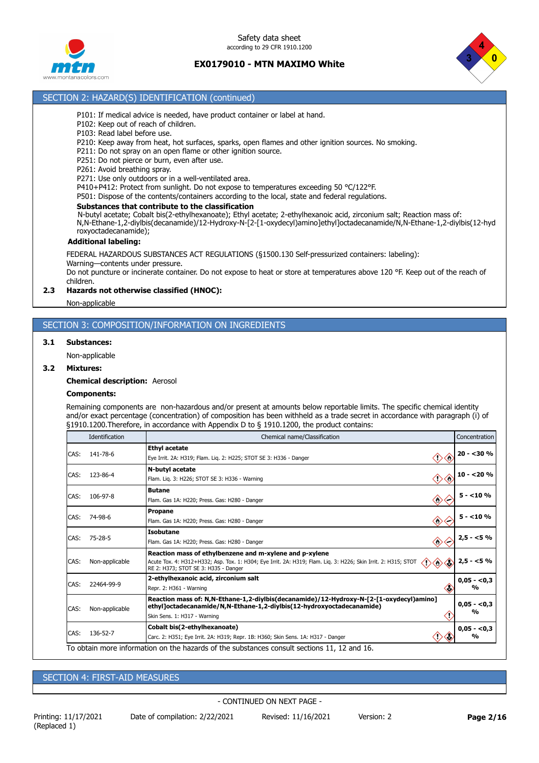

Safety data sheet according to 29 CFR 1910.1200

# **EX0179010 - MTN MAXIMO White**



# SECTION 2: HAZARD(S) IDENTIFICATION (continued)

- P101: If medical advice is needed, have product container or label at hand.
- P102: Keep out of reach of children.
- P103: Read label before use.
- P210: Keep away from heat, hot surfaces, sparks, open flames and other ignition sources. No smoking.
- P211: Do not spray on an open flame or other ignition source.
- P251: Do not pierce or burn, even after use.
- P261: Avoid breathing spray.

P271: Use only outdoors or in a well-ventilated area.

P410+P412: Protect from sunlight. Do not expose to temperatures exceeding 50 °C/122°F.

P501: Dispose of the contents/containers according to the local, state and federal regulations.

#### **Substances that contribute to the classification**

N-butyl acetate; Cobalt bis(2-ethylhexanoate); Ethyl acetate; 2-ethylhexanoic acid, zirconium salt; Reaction mass of: N,N-Ethane-1,2-diylbis(decanamide)/12-Hydroxy-N-[2-[1-oxydecyl)amino]ethyl]octadecanamide/N,N-Ethane-1,2-diylbis(12-hyd roxyoctadecanamide);

#### **Additional labeling:**

FEDERAL HAZARDOUS SUBSTANCES ACT REGULATIONS (§1500.130 Self-pressurized containers: labeling): Warning—contents under pressure.

Do not puncture or incinerate container. Do not expose to heat or store at temperatures above 120 °F. Keep out of the reach of children.

### **2.3 Hazards not otherwise classified (HNOC):**

Non-applicable

# SECTION 3: COMPOSITION/INFORMATION ON INGREDIENTS

#### **3.1 Substances:**

Non-applicable

#### **3.2 Mixtures:**

**Chemical description:** Aerosol

### **Components:**

Remaining components are non-hazardous and/or present at amounts below reportable limits. The specific chemical identity and/or exact percentage (concentration) of composition has been withheld as a trade secret in accordance with paragraph (i) of §1910.1200.Therefore, in accordance with Appendix D to § 1910.1200, the product contains:

|      | Identification | Chemical name/Classification                                                                                                                                                                                                | Concentration                 |
|------|----------------|-----------------------------------------------------------------------------------------------------------------------------------------------------------------------------------------------------------------------------|-------------------------------|
| CAS: | 141-78-6       | <b>Ethyl acetate</b><br>œ<br>Eye Irrit. 2A: H319; Flam. Lig. 2: H225; STOT SE 3: H336 - Danger                                                                                                                              | $20 - 30%$                    |
| CAS: | 123-86-4       | N-butyl acetate<br>$\langle e \rangle$<br>〈'〉<br>Flam. Lig. 3: H226; STOT SE 3: H336 - Warning                                                                                                                              | $10 - 20%$                    |
| CAS: | 106-97-8       | <b>Butane</b><br>$\langle \cdot \rangle$<br>Flam. Gas 1A: H220; Press. Gas: H280 - Danger                                                                                                                                   | $5 - 10%$                     |
| CAS: | 74-98-6        | Propane<br>$\langle \cdot \rangle$<br>Flam. Gas 1A: H220; Press. Gas: H280 - Danger                                                                                                                                         | $5 - 10%$                     |
| CAS: | 75-28-5        | Isobutane<br>$\langle \cdot \rangle$<br>Flam. Gas 1A: H220; Press. Gas: H280 - Danger                                                                                                                                       | $2,5 - 5%$                    |
| CAS: | Non-applicable | Reaction mass of ethylbenzene and m-xylene and p-xylene<br>◇<br>Acute Tox. 4: H312+H332; Asp. Tox. 1: H304; Eye Irrit. 2A: H319; Flam. Liq. 3: H226; Skin Irrit. 2: H315; STOT<br>◇<br>RE 2: H373: STOT SE 3: H335 - Danger | $2,5 - 5%$                    |
| CAS: | 22464-99-9     | 2-ethylhexanoic acid, zirconium salt<br>G,<br>Repr. 2: H361 - Warning                                                                                                                                                       | $0,05 - 0,3$<br>%             |
| CAS: | Non-applicable | Reaction mass of: N,N-Ethane-1,2-diylbis(decanamide)/12-Hydroxy-N-[2-[1-oxydecyl)amino]<br>ethyl]octadecanamide/N,N-Ethane-1,2-diylbis(12-hydroxyoctadecanamide)<br>Skin Sens. 1: H317 - Warning                            | $0,05 - 0,3$<br>$\frac{1}{2}$ |
| CAS: | 136-52-7       | Cobalt bis(2-ethylhexanoate)<br>Carc. 2: H351; Eye Irrit. 2A: H319; Repr. 1B: H360; Skin Sens. 1A: H317 - Danger                                                                                                            | $0,05 - 0,3$<br>%             |

SECTION 4: FIRST-AID MEASURES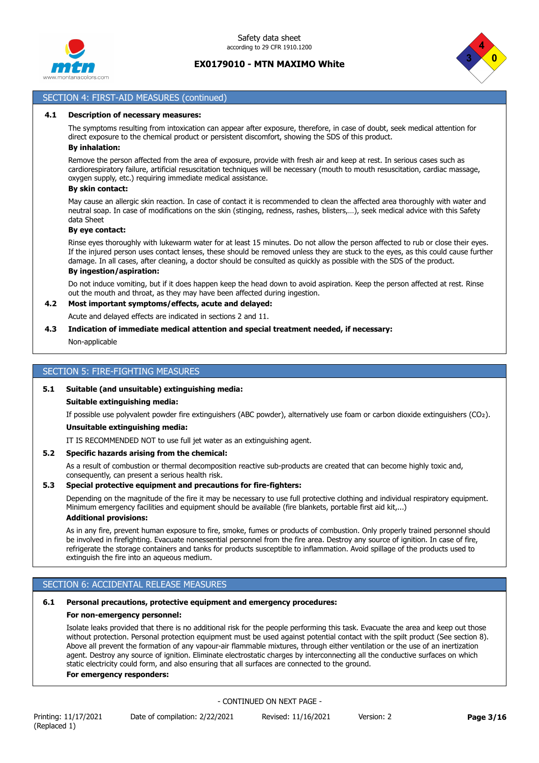



## SECTION 4: FIRST-AID MEASURES (continued)

#### **4.1 Description of necessary measures:**

The symptoms resulting from intoxication can appear after exposure, therefore, in case of doubt, seek medical attention for direct exposure to the chemical product or persistent discomfort, showing the SDS of this product.

# **By inhalation:**

Remove the person affected from the area of exposure, provide with fresh air and keep at rest. In serious cases such as cardiorespiratory failure, artificial resuscitation techniques will be necessary (mouth to mouth resuscitation, cardiac massage, oxygen supply, etc.) requiring immediate medical assistance.

### **By skin contact:**

May cause an allergic skin reaction. In case of contact it is recommended to clean the affected area thoroughly with water and neutral soap. In case of modifications on the skin (stinging, redness, rashes, blisters,…), seek medical advice with this Safety data Sheet

#### **By eye contact:**

Rinse eyes thoroughly with lukewarm water for at least 15 minutes. Do not allow the person affected to rub or close their eyes. If the injured person uses contact lenses, these should be removed unless they are stuck to the eyes, as this could cause further damage. In all cases, after cleaning, a doctor should be consulted as quickly as possible with the SDS of the product.

## **By ingestion/aspiration:**

Do not induce vomiting, but if it does happen keep the head down to avoid aspiration. Keep the person affected at rest. Rinse out the mouth and throat, as they may have been affected during ingestion.

# **4.2 Most important symptoms/effects, acute and delayed:**

Acute and delayed effects are indicated in sections 2 and 11.

### **4.3 Indication of immediate medical attention and special treatment needed, if necessary:**

Non-applicable

### SECTION 5: FIRE-FIGHTING MEASURES

### **5.1 Suitable (and unsuitable) extinguishing media:**

#### **Suitable extinguishing media:**

If possible use polyvalent powder fire extinguishers (ABC powder), alternatively use foam or carbon dioxide extinguishers (CO₂).

#### **Unsuitable extinguishing media:**

IT IS RECOMMENDED NOT to use full jet water as an extinguishing agent.

### **5.2 Specific hazards arising from the chemical:**

As a result of combustion or thermal decomposition reactive sub-products are created that can become highly toxic and, consequently, can present a serious health risk.

### **5.3 Special protective equipment and precautions for fire-fighters:**

Depending on the magnitude of the fire it may be necessary to use full protective clothing and individual respiratory equipment. Minimum emergency facilities and equipment should be available (fire blankets, portable first aid kit,...) **Additional provisions:**

## As in any fire, prevent human exposure to fire, smoke, fumes or products of combustion. Only properly trained personnel should be involved in firefighting. Evacuate nonessential personnel from the fire area. Destroy any source of ignition. In case of fire, refrigerate the storage containers and tanks for products susceptible to inflammation. Avoid spillage of the products used to

extinguish the fire into an aqueous medium.

# SECTION 6: ACCIDENTAL RELEASE MEASURES

# **6.1 Personal precautions, protective equipment and emergency procedures:**

# **For non-emergency personnel:**

Isolate leaks provided that there is no additional risk for the people performing this task. Evacuate the area and keep out those without protection. Personal protection equipment must be used against potential contact with the spilt product (See section 8). Above all prevent the formation of any vapour-air flammable mixtures, through either ventilation or the use of an inertization agent. Destroy any source of ignition. Eliminate electrostatic charges by interconnecting all the conductive surfaces on which static electricity could form, and also ensuring that all surfaces are connected to the ground.

# **For emergency responders:**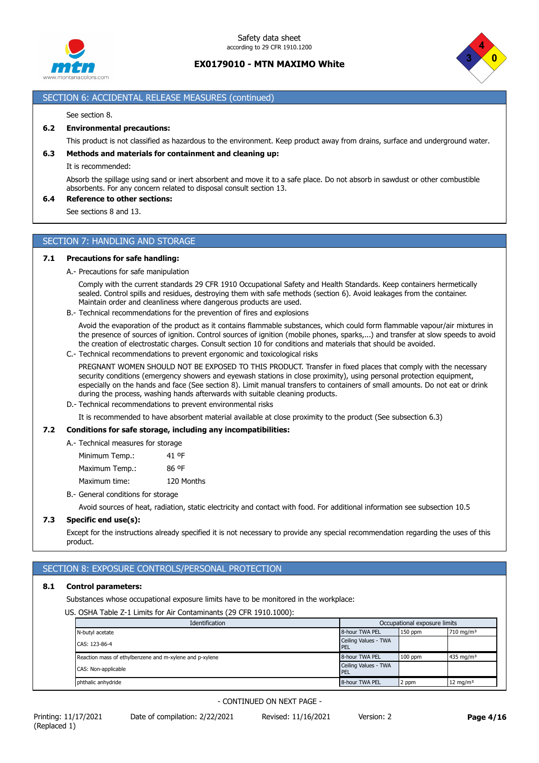



# SECTION 6: ACCIDENTAL RELEASE MEASURES (continued)

#### See section 8.

### **6.2 Environmental precautions:**

This product is not classified as hazardous to the environment. Keep product away from drains, surface and underground water.

### **6.3 Methods and materials for containment and cleaning up:**

It is recommended:

Absorb the spillage using sand or inert absorbent and move it to a safe place. Do not absorb in sawdust or other combustible absorbents. For any concern related to disposal consult section 13.

#### **6.4 Reference to other sections:**

See sections 8 and 13.

#### SECTION 7: HANDLING AND STORAGE

#### **7.1 Precautions for safe handling:**

A.- Precautions for safe manipulation

Comply with the current standards 29 CFR 1910 Occupational Safety and Health Standards. Keep containers hermetically sealed. Control spills and residues, destroying them with safe methods (section 6). Avoid leakages from the container. Maintain order and cleanliness where dangerous products are used.

B.- Technical recommendations for the prevention of fires and explosions

Avoid the evaporation of the product as it contains flammable substances, which could form flammable vapour/air mixtures in the presence of sources of ignition. Control sources of ignition (mobile phones, sparks,...) and transfer at slow speeds to avoid the creation of electrostatic charges. Consult section 10 for conditions and materials that should be avoided.

C.- Technical recommendations to prevent ergonomic and toxicological risks

PREGNANT WOMEN SHOULD NOT BE EXPOSED TO THIS PRODUCT. Transfer in fixed places that comply with the necessary security conditions (emergency showers and eyewash stations in close proximity), using personal protection equipment, especially on the hands and face (See section 8). Limit manual transfers to containers of small amounts. Do not eat or drink during the process, washing hands afterwards with suitable cleaning products.

D.- Technical recommendations to prevent environmental risks

It is recommended to have absorbent material available at close proximity to the product (See subsection 6.3)

### **7.2 Conditions for safe storage, including any incompatibilities:**

A.- Technical measures for storage

Minimum Temp.: 41 ºF

| Maximum Temp.: |  | 86 °F |  |
|----------------|--|-------|--|
|----------------|--|-------|--|

Maximum time: 120 Months

B.- General conditions for storage

Avoid sources of heat, radiation, static electricity and contact with food. For additional information see subsection 10.5

### **7.3 Specific end use(s):**

Except for the instructions already specified it is not necessary to provide any special recommendation regarding the uses of this product.

# SECTION 8: EXPOSURE CONTROLS/PERSONAL PROTECTION

#### **8.1 Control parameters:**

Substances whose occupational exposure limits have to be monitored in the workplace:

US. OSHA Table Z-1 Limits for Air Contaminants (29 CFR 1910.1000):

| Identification                                          |                             | Occupational exposure limits |                       |
|---------------------------------------------------------|-----------------------------|------------------------------|-----------------------|
| N-butyl acetate                                         | 8-hour TWA PEL              | $150$ ppm                    | 710 mg/m <sup>3</sup> |
| CAS: 123-86-4                                           | Ceiling Values - TWA<br>PEL |                              |                       |
| Reaction mass of ethylbenzene and m-xylene and p-xylene | 8-hour TWA PEL              | $100$ ppm                    | 435 mg/m $3$          |
| CAS: Non-applicable                                     | Ceiling Values - TWA<br>PEL |                              |                       |
| phthalic anhydride                                      | 8-hour TWA PEL              | 2 ppm                        | $12 \text{ mg/m}^3$   |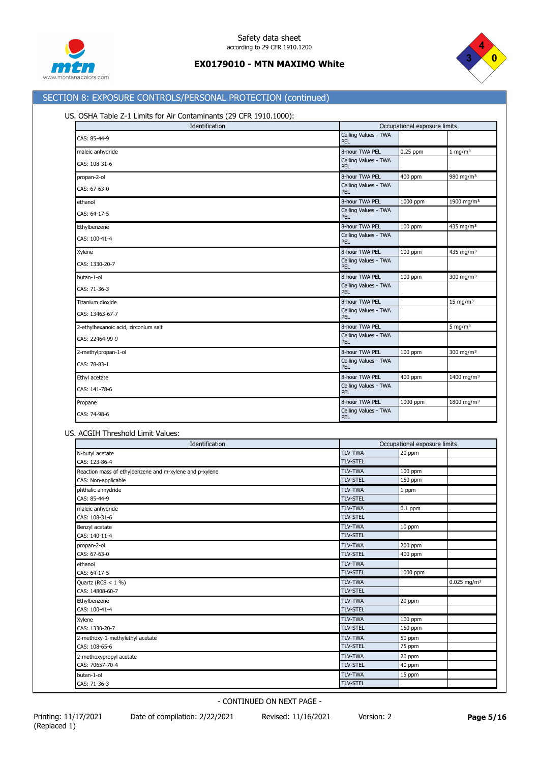



# SECTION 8: EXPOSURE CONTROLS/PERSONAL PROTECTION (continued)

### US. OSHA Table Z-1 Limits for Air Contaminants (29 CFR 1910.1000):

| Identification                       | Occupational exposure limits |          |                        |
|--------------------------------------|------------------------------|----------|------------------------|
| CAS: 85-44-9                         | Ceiling Values - TWA<br>PEL  |          |                        |
| maleic anhydride                     | 8-hour TWA PEL               | 0.25 ppm | $1$ mg/m <sup>3</sup>  |
| CAS: 108-31-6                        | Ceiling Values - TWA<br>PEL  |          |                        |
| propan-2-ol                          | 8-hour TWA PEL               | 400 ppm  | 980 mg/m <sup>3</sup>  |
| CAS: 67-63-0                         | Ceiling Values - TWA<br>PEL  |          |                        |
| ethanol                              | 8-hour TWA PEL               | 1000 ppm | 1900 mg/m <sup>3</sup> |
| CAS: 64-17-5                         | Ceiling Values - TWA<br>PEL  |          |                        |
| Ethylbenzene                         | 8-hour TWA PEL               | 100 ppm  | 435 mg/m <sup>3</sup>  |
| CAS: 100-41-4                        | Ceiling Values - TWA<br>PEL  |          |                        |
| Xylene                               | 8-hour TWA PEL               | 100 ppm  | 435 mg/m <sup>3</sup>  |
| CAS: 1330-20-7                       | Ceiling Values - TWA<br>PEL  |          |                        |
| butan-1-ol                           | 8-hour TWA PEL               | 100 ppm  | 300 mg/m <sup>3</sup>  |
| CAS: 71-36-3                         | Ceiling Values - TWA<br>PEL  |          |                        |
| Titanium dioxide                     | 8-hour TWA PEL               |          | $15 \text{ mg/m}^3$    |
| CAS: 13463-67-7                      | Ceiling Values - TWA<br>PEL  |          |                        |
| 2-ethylhexanoic acid, zirconium salt | 8-hour TWA PEL               |          | 5 mg/m $3$             |
| CAS: 22464-99-9                      | Ceiling Values - TWA<br>PEL  |          |                        |
| 2-methylpropan-1-ol                  | 8-hour TWA PEL               | 100 ppm  | 300 mg/m <sup>3</sup>  |
| CAS: 78-83-1                         | Ceiling Values - TWA<br>PEL  |          |                        |
| Ethyl acetate                        | 8-hour TWA PEL               | 400 ppm  | 1400 mg/m <sup>3</sup> |
| CAS: 141-78-6                        | Ceiling Values - TWA<br>PEL  |          |                        |
| Propane                              | 8-hour TWA PEL               | 1000 ppm | 1800 mg/m $3$          |
| CAS: 74-98-6                         | Ceiling Values - TWA<br>PEL  |          |                        |

#### US. ACGIH Threshold Limit Values:

| Identification                                          |                 | Occupational exposure limits |                           |
|---------------------------------------------------------|-----------------|------------------------------|---------------------------|
| N-butyl acetate                                         | <b>TLV-TWA</b>  | 20 ppm                       |                           |
| CAS: 123-86-4                                           | <b>TLV-STEL</b> |                              |                           |
| Reaction mass of ethylbenzene and m-xylene and p-xylene | <b>TLV-TWA</b>  | 100 ppm                      |                           |
| CAS: Non-applicable                                     | <b>TLV-STEL</b> | 150 ppm                      |                           |
| phthalic anhydride                                      | <b>TLV-TWA</b>  | 1 ppm                        |                           |
| CAS: 85-44-9                                            | <b>TLV-STEL</b> |                              |                           |
| maleic anhydride                                        | <b>TLV-TWA</b>  | $0.1$ ppm                    |                           |
| CAS: 108-31-6                                           | <b>TLV-STEL</b> |                              |                           |
| Benzyl acetate                                          | <b>TLV-TWA</b>  | 10 ppm                       |                           |
| CAS: 140-11-4                                           | <b>TLV-STEL</b> |                              |                           |
| propan-2-ol                                             | <b>TLV-TWA</b>  | 200 ppm                      |                           |
| CAS: 67-63-0                                            | <b>TLV-STEL</b> | 400 ppm                      |                           |
| ethanol                                                 | <b>TLV-TWA</b>  |                              |                           |
| CAS: 64-17-5                                            | <b>TLV-STEL</b> | 1000 ppm                     |                           |
| Quartz (RCS $<$ 1 %)                                    | <b>TLV-TWA</b>  |                              | $0.025$ mg/m <sup>3</sup> |
| CAS: 14808-60-7                                         | <b>TLV-STEL</b> |                              |                           |
| Ethylbenzene                                            | <b>TLV-TWA</b>  | 20 ppm                       |                           |
| CAS: 100-41-4                                           | <b>TLV-STEL</b> |                              |                           |
| Xylene                                                  | <b>TLV-TWA</b>  | 100 ppm                      |                           |
| CAS: 1330-20-7                                          | <b>TLV-STEL</b> | 150 ppm                      |                           |
| 2-methoxy-1-methylethyl acetate                         | <b>TLV-TWA</b>  | 50 ppm                       |                           |
| CAS: 108-65-6                                           | <b>TLV-STEL</b> | 75 ppm                       |                           |
| 2-methoxypropyl acetate                                 | <b>TLV-TWA</b>  | 20 ppm                       |                           |
| CAS: 70657-70-4                                         | <b>TLV-STEL</b> | 40 ppm                       |                           |
| butan-1-ol                                              | <b>TLV-TWA</b>  | 15 ppm                       |                           |
| CAS: 71-36-3                                            | <b>TLV-STEL</b> |                              |                           |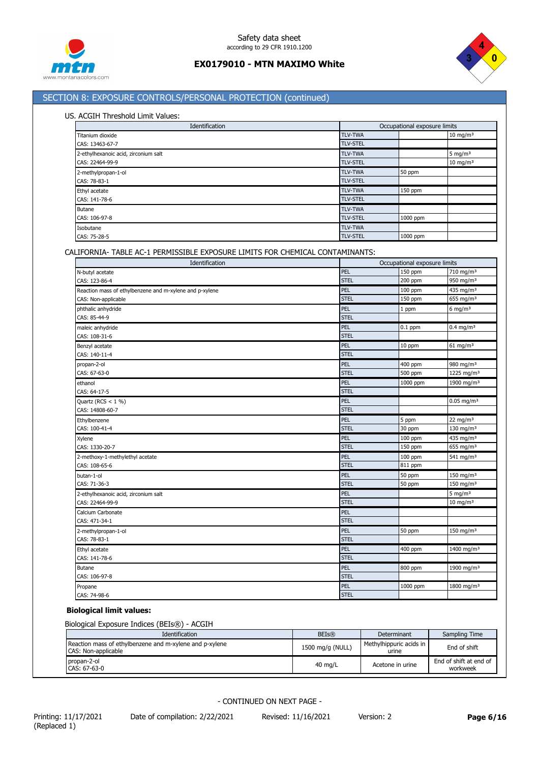



# SECTION 8: EXPOSURE CONTROLS/PERSONAL PROTECTION (continued)

### US. ACGIH Threshold Limit Values:

| Identification                       | Occupational exposure limits |          |                     |
|--------------------------------------|------------------------------|----------|---------------------|
| Titanium dioxide                     | <b>TLV-TWA</b>               |          | $10 \text{ mg/m}^3$ |
| CAS: 13463-67-7                      | <b>TLV-STEL</b>              |          |                     |
| 2-ethylhexanoic acid, zirconium salt | <b>TLV-TWA</b>               |          | 5 mg/m $3$          |
| CAS: 22464-99-9                      | <b>TLV-STEL</b>              |          | $10 \text{ mg/m}^3$ |
| 2-methylpropan-1-ol                  | <b>TLV-TWA</b>               | 50 ppm   |                     |
| CAS: 78-83-1                         | <b>TLV-STEL</b>              |          |                     |
| Ethyl acetate                        | <b>TLV-TWA</b>               | 150 ppm  |                     |
| CAS: 141-78-6                        | <b>TLV-STEL</b>              |          |                     |
| <b>Butane</b>                        | <b>TLV-TWA</b>               |          |                     |
| CAS: 106-97-8                        | <b>TLV-STEL</b>              | 1000 ppm |                     |
| Isobutane                            | <b>TLV-TWA</b>               |          |                     |
| CAS: 75-28-5                         | <b>TLV-STEL</b>              | 1000 ppm |                     |

# CALIFORNIA- TABLE AC-1 PERMISSIBLE EXPOSURE LIMITS FOR CHEMICAL CONTAMINANTS:

| Identification                                          |             | Occupational exposure limits |                          |  |
|---------------------------------------------------------|-------------|------------------------------|--------------------------|--|
| N-butyl acetate                                         | PEL         | 150 ppm                      | 710 mg/m <sup>3</sup>    |  |
| CAS: 123-86-4                                           | <b>STEL</b> | 200 ppm                      | 950 mg/m <sup>3</sup>    |  |
| Reaction mass of ethylbenzene and m-xylene and p-xylene | PEL         | 100 ppm                      | 435 mg/m <sup>3</sup>    |  |
| CAS: Non-applicable                                     | <b>STEL</b> | 150 ppm                      | 655 mg/m <sup>3</sup>    |  |
| phthalic anhydride                                      | PEL         | 1 ppm                        | 6 mg/m $3$               |  |
| CAS: 85-44-9                                            | <b>STEL</b> |                              |                          |  |
| maleic anhydride                                        | PEL         | $0.1$ ppm                    | $0.4$ mg/m <sup>3</sup>  |  |
| CAS: 108-31-6                                           | <b>STEL</b> |                              |                          |  |
| Benzyl acetate                                          | PEL         | 10 ppm                       | $61$ mg/m <sup>3</sup>   |  |
| CAS: 140-11-4                                           | <b>STEL</b> |                              |                          |  |
| propan-2-ol                                             | PEL         | 400 ppm                      | 980 mg/m <sup>3</sup>    |  |
| CAS: 67-63-0                                            | <b>STEL</b> | 500 ppm                      | 1225 mg/m <sup>3</sup>   |  |
| ethanol                                                 | PEL         | 1000 ppm                     | 1900 mg/m <sup>3</sup>   |  |
| CAS: 64-17-5                                            | <b>STEL</b> |                              |                          |  |
| Quartz (RCS $<$ 1 %)                                    | PEL         |                              | $0.05$ mg/m <sup>3</sup> |  |
| CAS: 14808-60-7                                         | <b>STEL</b> |                              |                          |  |
| Ethylbenzene                                            | PEL         | 5 ppm                        | 22 mg/m $3$              |  |
| CAS: 100-41-4                                           | <b>STEL</b> | 30 ppm                       | 130 mg/m $3$             |  |
| Xylene                                                  | PEL         | 100 ppm                      | 435 mg/m <sup>3</sup>    |  |
| CAS: 1330-20-7                                          | <b>STEL</b> | 150 ppm                      | 655 mg/m <sup>3</sup>    |  |
| 2-methoxy-1-methylethyl acetate                         | PEL         | 100 ppm                      | 541 mg/m $3$             |  |
| CAS: 108-65-6                                           | <b>STEL</b> | 811 ppm                      |                          |  |
| butan-1-ol                                              | PEL         | 50 ppm                       | 150 mg/m $3$             |  |
| CAS: 71-36-3                                            | <b>STEL</b> | 50 ppm                       | 150 mg/m $3$             |  |
| 2-ethylhexanoic acid, zirconium salt                    | PEL         |                              | 5 mg/m $3$               |  |
| CAS: 22464-99-9                                         | <b>STEL</b> |                              | $10 \text{ mg/m}^3$      |  |
| Calcium Carbonate                                       | PEL         |                              |                          |  |
| CAS: 471-34-1                                           | <b>STEL</b> |                              |                          |  |
| 2-methylpropan-1-ol                                     | PEL         | 50 ppm                       | $150 \text{ mg/m}^3$     |  |
| CAS: 78-83-1                                            | <b>STEL</b> |                              |                          |  |
| Ethyl acetate                                           | PEL         | 400 ppm                      | 1400 mg/m <sup>3</sup>   |  |
| CAS: 141-78-6                                           | <b>STEL</b> |                              |                          |  |
| Butane                                                  | PEL         | 800 ppm                      | 1900 mg/m <sup>3</sup>   |  |
| CAS: 106-97-8                                           | <b>STEL</b> |                              |                          |  |
| Propane                                                 | PEL         | 1000 ppm                     | 1800 mg/m <sup>3</sup>   |  |
| CAS: 74-98-6                                            | <b>STEL</b> |                              |                          |  |

# **Biological limit values:**

Biological Exposure Indices (BEIs®) - ACGIH

| <b>Identification</b>                                                          | <b>BEIs®</b>      | Determinant                      | Sampling Time                      |
|--------------------------------------------------------------------------------|-------------------|----------------------------------|------------------------------------|
| Reaction mass of ethylbenzene and m-xylene and p-xylene<br>CAS: Non-applicable | 1500 mg/g (NULL)  | Methylhippuric acids in<br>urine | End of shift                       |
| propan-2-ol<br>CAS: 67-63-0                                                    | $40 \text{ mg/L}$ | Acetone in urine                 | End of shift at end of<br>workweek |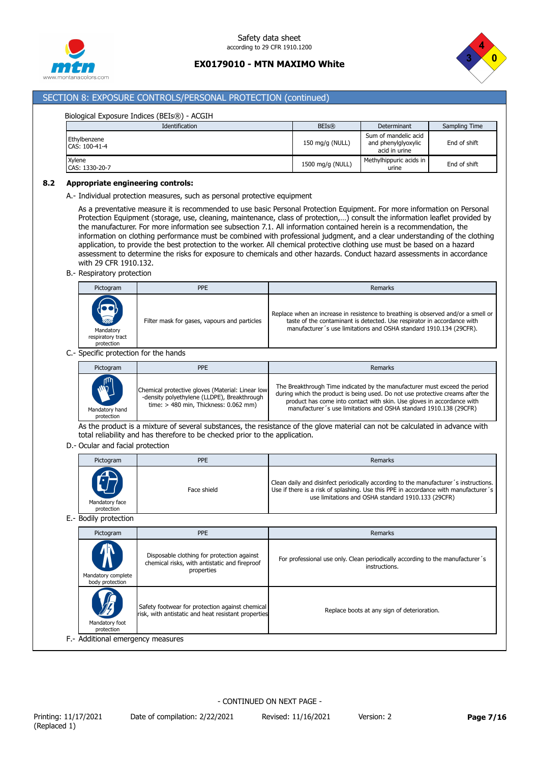



# SECTION 8: EXPOSURE CONTROLS/PERSONAL PROTECTION (continued)

| Biological Exposure Indices (BEIs®) - ACGIH |                  |                                                              |               |  |
|---------------------------------------------|------------------|--------------------------------------------------------------|---------------|--|
| Identification                              | BEIs(R)          | Determinant                                                  | Sampling Time |  |
| Ethylbenzene<br>CAS: 100-41-4               | 150 mg/g (NULL)  | Sum of mandelic acid<br>and phenylglyoxylic<br>acid in urine | End of shift  |  |
| Xylene<br>CAS: 1330-20-7                    | 1500 mg/g (NULL) | Methylhippuric acids in<br>urine                             | End of shift  |  |

#### **8.2 Appropriate engineering controls:**

A.- Individual protection measures, such as personal protective equipment

As a preventative measure it is recommended to use basic Personal Protection Equipment. For more information on Personal Protection Equipment (storage, use, cleaning, maintenance, class of protection,…) consult the information leaflet provided by the manufacturer. For more information see subsection 7.1. All information contained herein is a recommendation, the information on clothing performance must be combined with professional judgment, and a clear understanding of the clothing application, to provide the best protection to the worker. All chemical protective clothing use must be based on a hazard assessment to determine the risks for exposure to chemicals and other hazards. Conduct hazard assessments in accordance with 29 CFR 1910.132.

### B.- Respiratory protection

| Pictogram                                                             | <b>PPE</b>                                   | Remarks                                                                                                                                                                                                                            |
|-----------------------------------------------------------------------|----------------------------------------------|------------------------------------------------------------------------------------------------------------------------------------------------------------------------------------------------------------------------------------|
| $\sum_{n=1}^{\infty}$<br>Mandatory<br>respiratory tract<br>protection | Filter mask for gases, vapours and particles | Replace when an increase in resistence to breathing is observed and/or a smell or<br>taste of the contaminant is detected. Use respirator in accordance with<br>manufacturer's use limitations and OSHA standard 1910.134 (29CFR). |

### C.- Specific protection for the hands

| Pictogram                                    | <b>PPE</b>                                                                                                                                 | Remarks                                                                                                                                                                                                                                                                                                     |
|----------------------------------------------|--------------------------------------------------------------------------------------------------------------------------------------------|-------------------------------------------------------------------------------------------------------------------------------------------------------------------------------------------------------------------------------------------------------------------------------------------------------------|
| <b>NUTER</b><br>Mandatory hand<br>protection | Chemical protective gloves (Material: Linear low<br>-density polyethylene (LLDPE), Breakthrough<br>time: $>$ 480 min. Thickness: 0.062 mm) | The Breakthrough Time indicated by the manufacturer must exceed the period<br>during which the product is being used. Do not use protective creams after the<br>product has come into contact with skin. Use gloves in accordance with<br>manufacturer's use limitations and OSHA standard 1910.138 (29CFR) |

As the product is a mixture of several substances, the resistance of the glove material can not be calculated in advance with total reliability and has therefore to be checked prior to the application.

#### D.- Ocular and facial protection

| Pictogram                    | <b>PPE</b>  | Remarks                                                                                                                                                                                                                           |
|------------------------------|-------------|-----------------------------------------------------------------------------------------------------------------------------------------------------------------------------------------------------------------------------------|
| Mandatory face<br>protection | Face shield | Clean daily and disinfect periodically according to the manufacturer's instructions.<br>Use if there is a risk of splashing. Use this PPE in accordance with manufacturer's<br>use limitations and OSHA standard 1910.133 (29CFR) |

E.- Bodily protection

| Disposable clothing for protection against                                                                                                            |
|-------------------------------------------------------------------------------------------------------------------------------------------------------|
| For professional use only. Clean periodically according to the manufacturer's<br>chemical risks, with antistatic and fireproof<br>instructions.       |
| Safety footwear for protection against chemical<br>Replace boots at any sign of deterioration.<br>risk, with antistatic and heat resistant properties |
|                                                                                                                                                       |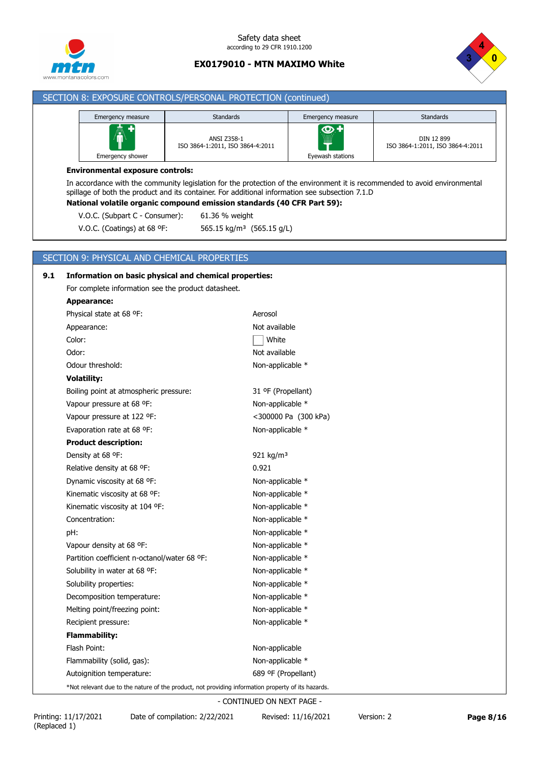



# SECTION 8: EXPOSURE CONTROLS/PERSONAL PROTECTION (continued)

| Emergency measure     | <b>Standards</b>                                | Emergency measure                           | <b>Standards</b>                               |
|-----------------------|-------------------------------------------------|---------------------------------------------|------------------------------------------------|
| Â<br>Emergency shower | ANSI Z358-1<br>ISO 3864-1:2011, ISO 3864-4:2011 | ு+<br>.<br><del>W</del><br>Eyewash stations | DIN 12 899<br>ISO 3864-1:2011, ISO 3864-4:2011 |

#### **Environmental exposure controls:**

In accordance with the community legislation for the protection of the environment it is recommended to avoid environmental spillage of both the product and its container. For additional information see subsection 7.1.D

# **National volatile organic compound emission standards (40 CFR Part 59):**

V.O.C. (Subpart C - Consumer): 61.36 % weight

V.O.C. (Coatings) at 68 ºF: 565.15 kg/m³ (565.15 g/L)

### SECTION 9: PHYSICAL AND CHEMICAL PROPERTIES

| 9.1 | Information on basic physical and chemical properties:                                             |                       |  |  |  |  |
|-----|----------------------------------------------------------------------------------------------------|-----------------------|--|--|--|--|
|     | For complete information see the product datasheet.                                                |                       |  |  |  |  |
|     | Appearance:                                                                                        |                       |  |  |  |  |
|     | Physical state at 68 °F:                                                                           | Aerosol               |  |  |  |  |
|     | Appearance:                                                                                        | Not available         |  |  |  |  |
|     | Color:                                                                                             | White                 |  |  |  |  |
|     | Odor:                                                                                              | Not available         |  |  |  |  |
|     | Odour threshold:                                                                                   | Non-applicable *      |  |  |  |  |
|     | <b>Volatility:</b>                                                                                 |                       |  |  |  |  |
|     | Boiling point at atmospheric pressure:                                                             | 31 ºF (Propellant)    |  |  |  |  |
|     | Vapour pressure at 68 °F:                                                                          | Non-applicable *      |  |  |  |  |
|     | Vapour pressure at 122 °F:                                                                         | <300000 Pa (300 kPa)  |  |  |  |  |
|     | Evaporation rate at 68 °F:                                                                         | Non-applicable *      |  |  |  |  |
|     | <b>Product description:</b>                                                                        |                       |  |  |  |  |
|     | Density at 68 °F:                                                                                  | 921 kg/m <sup>3</sup> |  |  |  |  |
|     | Relative density at 68 °F:                                                                         | 0.921                 |  |  |  |  |
|     | Dynamic viscosity at 68 °F:                                                                        | Non-applicable *      |  |  |  |  |
|     | Kinematic viscosity at 68 °F:                                                                      | Non-applicable *      |  |  |  |  |
|     | Kinematic viscosity at 104 °F:                                                                     | Non-applicable *      |  |  |  |  |
|     | Concentration:                                                                                     | Non-applicable *      |  |  |  |  |
|     | pH:                                                                                                | Non-applicable *      |  |  |  |  |
|     | Vapour density at 68 °F:                                                                           | Non-applicable *      |  |  |  |  |
|     | Partition coefficient n-octanol/water 68 °F:                                                       | Non-applicable *      |  |  |  |  |
|     | Solubility in water at 68 °F:                                                                      | Non-applicable *      |  |  |  |  |
|     | Solubility properties:                                                                             | Non-applicable *      |  |  |  |  |
|     | Decomposition temperature:                                                                         | Non-applicable *      |  |  |  |  |
|     | Melting point/freezing point:                                                                      | Non-applicable *      |  |  |  |  |
|     | Recipient pressure:                                                                                | Non-applicable *      |  |  |  |  |
|     | <b>Flammability:</b>                                                                               |                       |  |  |  |  |
|     | Flash Point:                                                                                       | Non-applicable        |  |  |  |  |
|     | Flammability (solid, gas):                                                                         | Non-applicable *      |  |  |  |  |
|     | Autoignition temperature:                                                                          | 689 ºF (Propellant)   |  |  |  |  |
|     | *Not relevant due to the nature of the product, not providing information property of its hazards. |                       |  |  |  |  |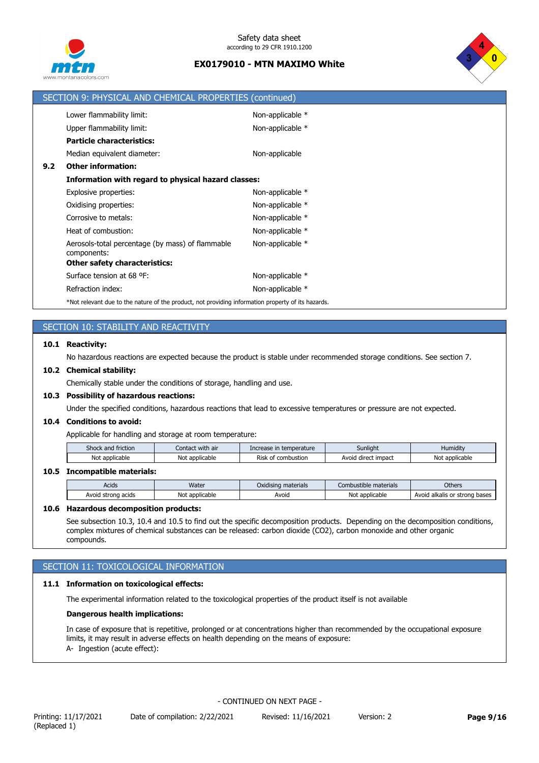



|     | SECTION 9: PHYSICAL AND CHEMICAL PROPERTIES (continued)                                            |                  |
|-----|----------------------------------------------------------------------------------------------------|------------------|
|     | Lower flammability limit:                                                                          | Non-applicable * |
|     | Upper flammability limit:                                                                          | Non-applicable * |
|     | <b>Particle characteristics:</b>                                                                   |                  |
|     | Median equivalent diameter:                                                                        | Non-applicable   |
| 9.2 | <b>Other information:</b>                                                                          |                  |
|     | Information with regard to physical hazard classes:                                                |                  |
|     | Explosive properties:                                                                              | Non-applicable * |
|     | Oxidising properties:                                                                              | Non-applicable * |
|     | Corrosive to metals:                                                                               | Non-applicable * |
|     | Heat of combustion:                                                                                | Non-applicable * |
|     | Aerosols-total percentage (by mass) of flammable<br>components:                                    | Non-applicable * |
|     | Other safety characteristics:                                                                      |                  |
|     | Surface tension at 68 °F:                                                                          | Non-applicable * |
|     | Refraction index:                                                                                  | Non-applicable * |
|     | *Not relevant due to the nature of the product, not providing information property of its hazards. |                  |

# SECTION 10: STABILITY AND REACTIVITY

### **10.1 Reactivity:**

No hazardous reactions are expected because the product is stable under recommended storage conditions. See section 7.

### **10.2 Chemical stability:**

Chemically stable under the conditions of storage, handling and use.

### **10.3 Possibility of hazardous reactions:**

Under the specified conditions, hazardous reactions that lead to excessive temperatures or pressure are not expected.

### **10.4 Conditions to avoid:**

Applicable for handling and storage at room temperature:

| $\sim$ $\sim$<br>and friction<br>Shock | with air<br>Contact | e in temperature<br>Increase     | Sunlight               | Humidity            |
|----------------------------------------|---------------------|----------------------------------|------------------------|---------------------|
| Not applicable                         | : applicable<br>Not | - -<br>combustion<br><b>Risk</b> | direct impact<br>Avoic | Not<br>: applicable |

## **10.5 Incompatible materials:**

| Acids                   | Water          | Oxidising materials | Combustible materials | <b>Others</b>                 |
|-------------------------|----------------|---------------------|-----------------------|-------------------------------|
| Avoid strong<br>∣ acids | Not applicable | Avoid               | Not applicable        | Avoid alkalis or strong bases |
|                         |                |                     |                       |                               |

### **10.6 Hazardous decomposition products:**

See subsection 10.3, 10.4 and 10.5 to find out the specific decomposition products. Depending on the decomposition conditions, complex mixtures of chemical substances can be released: carbon dioxide (CO2), carbon monoxide and other organic compounds.

# SECTION 11: TOXICOLOGICAL INFORMATION

### **11.1 Information on toxicological effects:**

The experimental information related to the toxicological properties of the product itself is not available

### **Dangerous health implications:**

In case of exposure that is repetitive, prolonged or at concentrations higher than recommended by the occupational exposure limits, it may result in adverse effects on health depending on the means of exposure: A- Ingestion (acute effect):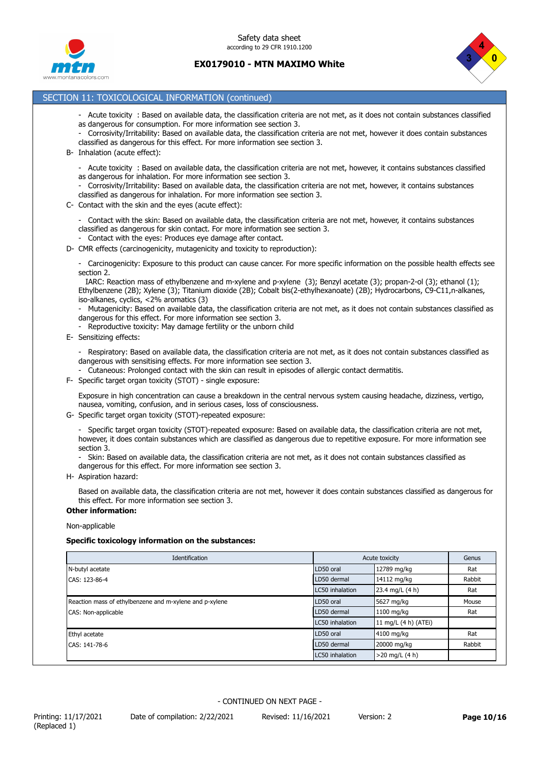



# SECTION 11: TOXICOLOGICAL INFORMATION (continued)

- Acute toxicity : Based on available data, the classification criteria are not met, as it does not contain substances classified as dangerous for consumption. For more information see section 3.
- Corrosivity/Irritability: Based on available data, the classification criteria are not met, however it does contain substances classified as dangerous for this effect. For more information see section 3.
- B- Inhalation (acute effect):
	- Acute toxicity : Based on available data, the classification criteria are not met, however, it contains substances classified as dangerous for inhalation. For more information see section 3.
	- Corrosivity/Irritability: Based on available data, the classification criteria are not met, however, it contains substances classified as dangerous for inhalation. For more information see section 3.
- C- Contact with the skin and the eyes (acute effect):
	- Contact with the skin: Based on available data, the classification criteria are not met, however, it contains substances classified as dangerous for skin contact. For more information see section 3.
	- Contact with the eyes: Produces eye damage after contact.
- D- CMR effects (carcinogenicity, mutagenicity and toxicity to reproduction):
	- Carcinogenicity: Exposure to this product can cause cancer. For more specific information on the possible health effects see section 2.

 IARC: Reaction mass of ethylbenzene and m-xylene and p-xylene (3); Benzyl acetate (3); propan-2-ol (3); ethanol (1); Ethylbenzene (2B); Xylene (3); Titanium dioxide (2B); Cobalt bis(2-ethylhexanoate) (2B); Hydrocarbons, C9-C11,n-alkanes, iso-alkanes, cyclics, <2% aromatics (3)

- Mutagenicity: Based on available data, the classification criteria are not met, as it does not contain substances classified as dangerous for this effect. For more information see section 3.
- Reproductive toxicity: May damage fertility or the unborn child
- E- Sensitizing effects:

- Respiratory: Based on available data, the classification criteria are not met, as it does not contain substances classified as dangerous with sensitising effects. For more information see section 3.

- Cutaneous: Prolonged contact with the skin can result in episodes of allergic contact dermatitis.
- F- Specific target organ toxicity (STOT) single exposure:

Exposure in high concentration can cause a breakdown in the central nervous system causing headache, dizziness, vertigo, nausea, vomiting, confusion, and in serious cases, loss of consciousness.

G- Specific target organ toxicity (STOT)-repeated exposure:

- Specific target organ toxicity (STOT)-repeated exposure: Based on available data, the classification criteria are not met, however, it does contain substances which are classified as dangerous due to repetitive exposure. For more information see section 3.

- Skin: Based on available data, the classification criteria are not met, as it does not contain substances classified as dangerous for this effect. For more information see section 3.
- H- Aspiration hazard:

Based on available data, the classification criteria are not met, however it does contain substances classified as dangerous for this effect. For more information see section 3.

#### **Other information:**

Non-applicable

#### **Specific toxicology information on the substances:**

| Identification                                          | Acute toxicity  | Genus                |        |
|---------------------------------------------------------|-----------------|----------------------|--------|
| N-butyl acetate                                         | LD50 oral       | 12789 mg/kg          | Rat    |
| CAS: 123-86-4                                           | LD50 dermal     | 14112 mg/kg          | Rabbit |
|                                                         | LC50 inhalation | 23.4 mg/L (4 h)      | Rat    |
| Reaction mass of ethylbenzene and m-xylene and p-xylene | LD50 oral       | 5627 mg/kg           | Mouse  |
| CAS: Non-applicable                                     | LD50 dermal     | 1100 mg/kg           | Rat    |
|                                                         | LC50 inhalation | 11 mg/L (4 h) (ATEi) |        |
| Ethyl acetate                                           | LD50 oral       | 4100 mg/kg           | Rat    |
| CAS: 141-78-6                                           | LD50 dermal     | 20000 mg/kg          | Rabbit |
|                                                         | LC50 inhalation | $>20$ mg/L (4 h)     |        |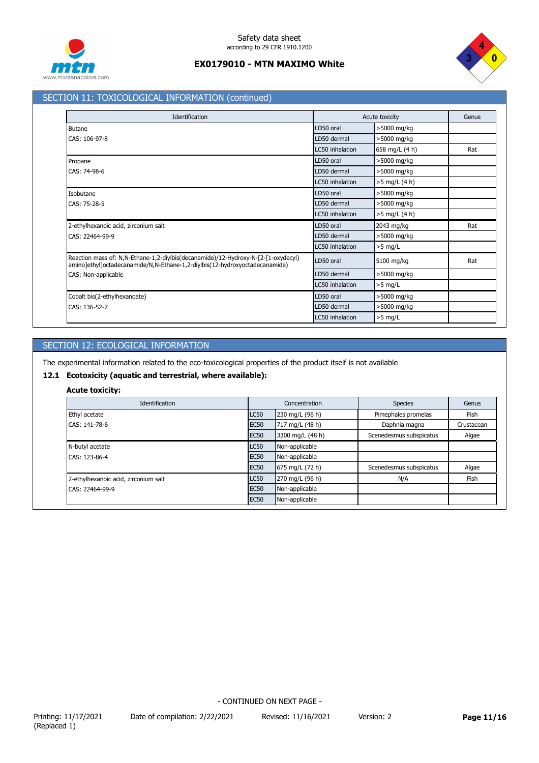



# SECTION 11: TOXICOLOGICAL INFORMATION (continued)

| Identification                                                                                                                                                   |                 | Acute toxicity |     |
|------------------------------------------------------------------------------------------------------------------------------------------------------------------|-----------------|----------------|-----|
| Butane                                                                                                                                                           | LD50 oral       | >5000 mg/kg    |     |
| CAS: 106-97-8                                                                                                                                                    | LD50 dermal     | >5000 mg/kg    |     |
|                                                                                                                                                                  | LC50 inhalation | 658 mg/L (4 h) | Rat |
| Propane                                                                                                                                                          | LD50 oral       | >5000 mg/kg    |     |
| CAS: 74-98-6                                                                                                                                                     | LD50 dermal     | >5000 mg/kg    |     |
|                                                                                                                                                                  | LC50 inhalation | >5 mg/L (4 h)  |     |
| Isobutane                                                                                                                                                        | LD50 oral       | >5000 mg/kg    |     |
| CAS: 75-28-5                                                                                                                                                     | LD50 dermal     | >5000 mg/kg    |     |
|                                                                                                                                                                  | LC50 inhalation | >5 mg/L (4 h)  |     |
| 2-ethylhexanoic acid, zirconium salt                                                                                                                             | LD50 oral       | 2043 mg/kg     | Rat |
| CAS: 22464-99-9                                                                                                                                                  | LD50 dermal     | >5000 mg/kg    |     |
|                                                                                                                                                                  | LC50 inhalation | $>5$ mg/L      |     |
| Reaction mass of: N,N-Ethane-1,2-diylbis(decanamide)/12-Hydroxy-N-[2-[1-oxydecyl)<br>amino]ethyl]octadecanamide/N,N-Ethane-1,2-diylbis(12-hydroxyoctadecanamide) | LD50 oral       | 5100 mg/kg     | Rat |
| CAS: Non-applicable                                                                                                                                              | LD50 dermal     | >5000 mg/kg    |     |
|                                                                                                                                                                  | LC50 inhalation | $>5$ mg/L      |     |
| Cobalt bis(2-ethylhexanoate)                                                                                                                                     | LD50 oral       | >5000 mg/kg    |     |
| CAS: 136-52-7                                                                                                                                                    | LD50 dermal     | >5000 mg/kg    |     |
|                                                                                                                                                                  | LC50 inhalation | $>5$ mg/L      |     |

# SECTION 12: ECOLOGICAL INFORMATION

The experimental information related to the eco-toxicological properties of the product itself is not available

## **12.1 Ecotoxicity (aquatic and terrestrial, where available):**

## **Acute toxicity:**

| Identification                       | Concentration    |                  | <b>Species</b>          | Genus      |
|--------------------------------------|------------------|------------------|-------------------------|------------|
| Ethyl acetate                        | <b>LC50</b>      | 230 mg/L (96 h)  | Pimephales promelas     | Fish       |
| CAS: 141-78-6                        | <b>EC50</b>      | 717 mg/L (48 h)  | Daphnia magna           | Crustacean |
|                                      | EC <sub>50</sub> | 3300 mg/L (48 h) | Scenedesmus subspicatus | Algae      |
| N-butyl acetate                      | <b>LC50</b>      | Non-applicable   |                         |            |
| CAS: 123-86-4                        | <b>EC50</b>      | Non-applicable   |                         |            |
|                                      | <b>EC50</b>      | 675 mg/L (72 h)  | Scenedesmus subspicatus | Algae      |
| 2-ethylhexanoic acid, zirconium salt | <b>LC50</b>      | 270 mg/L (96 h)  | N/A                     | Fish       |
| CAS: 22464-99-9                      | <b>EC50</b>      | Non-applicable   |                         |            |
|                                      | <b>EC50</b>      | Non-applicable   |                         |            |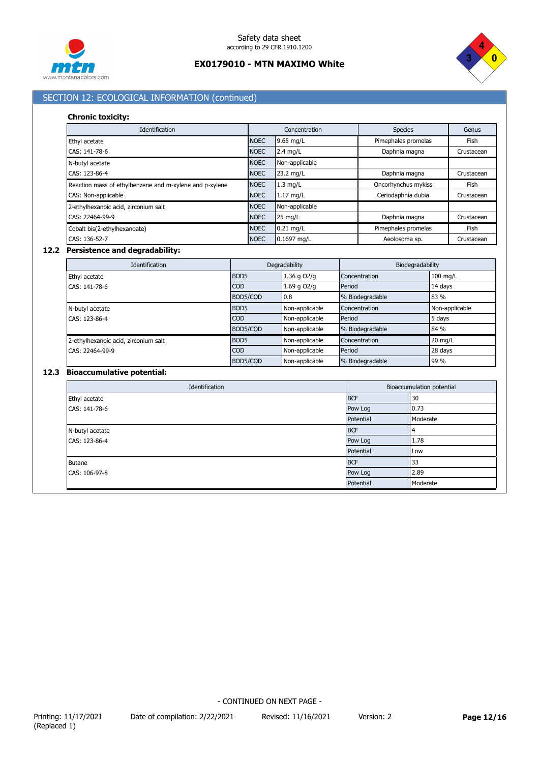



# SECTION 12: ECOLOGICAL INFORMATION (continued)

#### **Chronic toxicity:**

| Identification                                          |             | Concentration     | <b>Species</b>      | Genus      |
|---------------------------------------------------------|-------------|-------------------|---------------------|------------|
| Ethyl acetate                                           | <b>NOEC</b> | 9.65 mg/L         | Pimephales promelas | Fish       |
| CAS: 141-78-6                                           | <b>NOEC</b> | $2.4$ mg/L        | Daphnia magna       | Crustacean |
| N-butyl acetate                                         | <b>NOEC</b> | Non-applicable    |                     |            |
| CAS: 123-86-4                                           | <b>NOEC</b> | 23.2 mg/L         | Daphnia magna       | Crustacean |
| Reaction mass of ethylbenzene and m-xylene and p-xylene | <b>NOEC</b> | $1.3$ mg/L        | Oncorhynchus mykiss | Fish       |
| CAS: Non-applicable                                     | <b>NOEC</b> | $1.17$ mg/L       | Ceriodaphnia dubia  | Crustacean |
| 2-ethylhexanoic acid, zirconium salt                    | <b>NOEC</b> | Non-applicable    |                     |            |
| CAS: 22464-99-9                                         | <b>NOEC</b> | $25 \text{ mg/L}$ | Daphnia magna       | Crustacean |
| Cobalt bis(2-ethylhexanoate)                            | <b>NOEC</b> | $0.21$ mg/L       | Pimephales promelas | Fish       |
| CAS: 136-52-7                                           | <b>NOEC</b> | 0.1697 mg/L       | Aeolosoma sp.       | Crustacean |

### **12.2 Persistence and degradability:**

| <b>Identification</b>                | Degradability    |                | Biodegradability |                |
|--------------------------------------|------------------|----------------|------------------|----------------|
| Ethyl acetate                        | BOD <sub>5</sub> | 1.36 g O2/g    | Concentration    | 100 mg/L       |
| CAS: 141-78-6                        | <b>COD</b>       | 1.69 g O2/g    | Period           | 14 days        |
|                                      | BOD5/COD         | 0.8            | % Biodegradable  | 83 %           |
| N-butyl acetate                      | BOD <sub>5</sub> | Non-applicable | Concentration    | Non-applicable |
| CAS: 123-86-4                        | <b>COD</b>       | Non-applicable | Period           | 5 days         |
|                                      | BOD5/COD         | Non-applicable | % Biodegradable  | 84 %           |
| 2-ethylhexanoic acid, zirconium salt | BOD <sub>5</sub> | Non-applicable | Concentration    | 20 mg/L        |
| CAS: 22464-99-9                      | <b>COD</b>       | Non-applicable | Period           | 28 days        |
|                                      | BOD5/COD         | Non-applicable | % Biodegradable  | 99 %           |

# **12.3 Bioaccumulative potential:**

| Identification  | Bioaccumulation potential |          |  |
|-----------------|---------------------------|----------|--|
| Ethyl acetate   | <b>BCF</b>                | 30       |  |
| CAS: 141-78-6   | Pow Log                   | 0.73     |  |
|                 | Potential                 | Moderate |  |
| N-butyl acetate | <b>BCF</b>                |          |  |
| CAS: 123-86-4   | Pow Log                   | 1.78     |  |
|                 | Potential                 | Low      |  |
| <b>Butane</b>   | <b>BCF</b>                | 33       |  |
| CAS: 106-97-8   | Pow Log                   | 2.89     |  |
|                 | Potential                 | Moderate |  |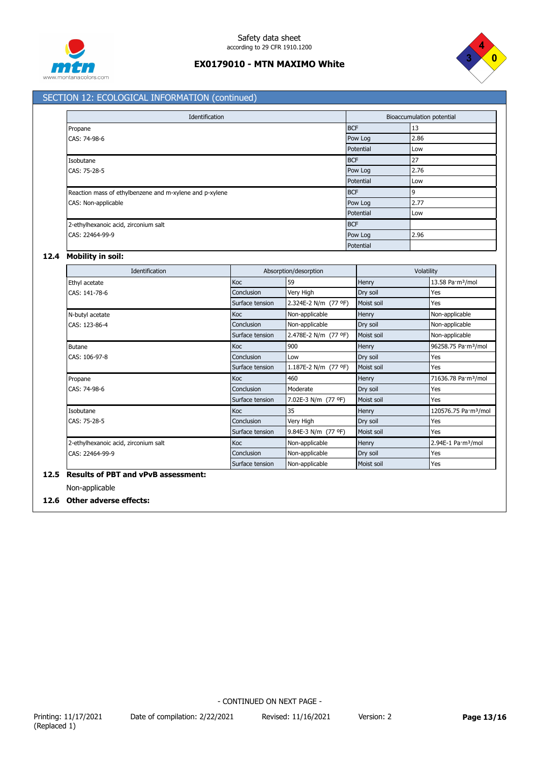



# SECTION 12: ECOLOGICAL INFORMATION (continued)

| Identification                                          |            | Bioaccumulation potential |  |  |
|---------------------------------------------------------|------------|---------------------------|--|--|
| Propane                                                 | <b>BCF</b> | 13                        |  |  |
| CAS: 74-98-6                                            | Pow Log    | 2.86                      |  |  |
|                                                         | Potential  | Low                       |  |  |
| Isobutane                                               | <b>BCF</b> | 27                        |  |  |
| CAS: 75-28-5                                            | Pow Log    | 2.76                      |  |  |
|                                                         | Potential  | Low                       |  |  |
| Reaction mass of ethylbenzene and m-xylene and p-xylene | <b>BCF</b> | 9                         |  |  |
| CAS: Non-applicable                                     | Pow Log    | 2.77                      |  |  |
|                                                         | Potential  | Low                       |  |  |
| 2-ethylhexanoic acid, zirconium salt                    | <b>BCF</b> |                           |  |  |
| CAS: 22464-99-9                                         | Pow Log    | 2.96                      |  |  |
|                                                         | Potential  |                           |  |  |

### **12.4 Mobility in soil:**

| Identification                       | Absorption/desorption |                      | Volatility |                                  |
|--------------------------------------|-----------------------|----------------------|------------|----------------------------------|
| Ethyl acetate                        | Koc                   | 59                   | Henry      | 13.58 Pa·m <sup>3</sup> /mol     |
| CAS: 141-78-6                        | Conclusion            | Very High            | Dry soil   | Yes                              |
|                                      | Surface tension       | 2.324E-2 N/m (77 °F) | Moist soil | Yes                              |
| N-butyl acetate                      | Koc                   | Non-applicable       | Henry      | Non-applicable                   |
| CAS: 123-86-4                        | Conclusion            | Non-applicable       | Dry soil   | Non-applicable                   |
|                                      | Surface tension       | 2.478E-2 N/m (77 °F) | Moist soil | Non-applicable                   |
| <b>Butane</b>                        | Koc                   | 900                  | Henry      | 96258.75 Pa·m <sup>3</sup> /mol  |
| CAS: 106-97-8                        | Conclusion            | Low                  | Dry soil   | Yes                              |
|                                      | Surface tension       | 1.187E-2 N/m (77 °F) | Moist soil | Yes                              |
| Propane                              | Koc                   | 460                  | Henry      | 71636.78 Pa·m <sup>3</sup> /mol  |
| CAS: 74-98-6                         | Conclusion            | Moderate             | Dry soil   | Yes                              |
|                                      | Surface tension       | 7.02E-3 N/m (77 °F)  | Moist soil | Yes                              |
| Isobutane                            | Koc                   | 35                   | Henry      | 120576.75 Pa·m <sup>3</sup> /mol |
| CAS: 75-28-5                         | Conclusion            | Very High            | Dry soil   | Yes                              |
|                                      | Surface tension       | 9.84E-3 N/m (77 °F)  | Moist soil | Yes                              |
| 2-ethylhexanoic acid, zirconium salt | Koc                   | Non-applicable       | Henry      | 2.94E-1 Pa·m <sup>3</sup> /mol   |
| CAS: 22464-99-9                      | Conclusion            | Non-applicable       | Dry soil   | Yes                              |
|                                      | Surface tension       | Non-applicable       | Moist soil | Yes                              |

# **12.5 Results of PBT and vPvB assessment:**

Non-applicable

# **12.6 Other adverse effects:**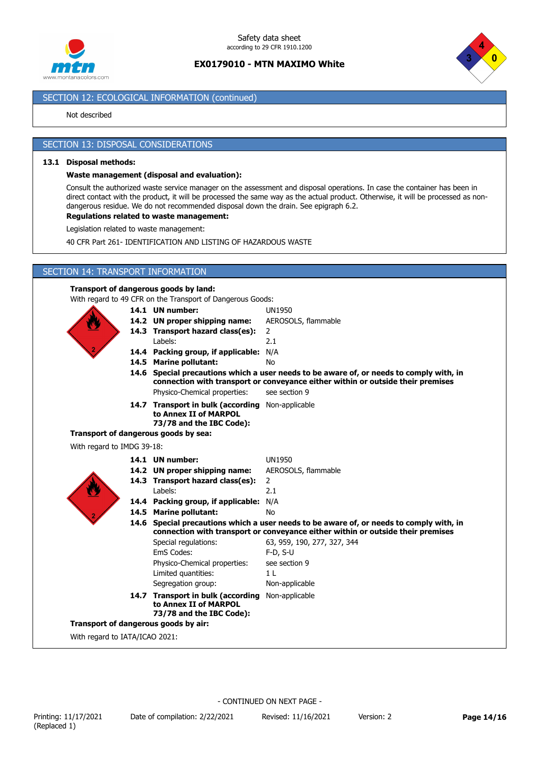



# SECTION 12: ECOLOGICAL INFORMATION (continued)

### Not described

### SECTION 13: DISPOSAL CONSIDERATIONS

#### **13.1 Disposal methods:**

#### **Waste management (disposal and evaluation):**

Consult the authorized waste service manager on the assessment and disposal operations. In case the container has been in direct contact with the product, it will be processed the same way as the actual product. Otherwise, it will be processed as nondangerous residue. We do not recommended disposal down the drain. See epigraph 6.2.

### **Regulations related to waste management:**

Legislation related to waste management:

40 CFR Part 261- IDENTIFICATION AND LISTING OF HAZARDOUS WASTE

## SECTION 14: TRANSPORT INFORMATION

### **Transport of dangerous goods by land:**

With regard to 49 CFR on the Transport of Dangerous Goods:



|                                    |                            | ch is on the managert of Bangerous coo                                                                                                                                     |                                                                                 |  |  |  |
|------------------------------------|----------------------------|----------------------------------------------------------------------------------------------------------------------------------------------------------------------------|---------------------------------------------------------------------------------|--|--|--|
|                                    |                            | 14.1 UN number:                                                                                                                                                            | <b>UN1950</b>                                                                   |  |  |  |
|                                    |                            | 14.2 UN proper shipping name:                                                                                                                                              | AEROSOLS, flammable                                                             |  |  |  |
|                                    |                            | 14.3 Transport hazard class(es):                                                                                                                                           | $\overline{2}$                                                                  |  |  |  |
|                                    |                            | Labels:                                                                                                                                                                    | 2.1                                                                             |  |  |  |
|                                    |                            | 14.4 Packing group, if applicable: N/A                                                                                                                                     |                                                                                 |  |  |  |
|                                    |                            | 14.5 Marine pollutant:                                                                                                                                                     | <b>No</b>                                                                       |  |  |  |
|                                    |                            | 14.6 Special precautions which a user needs to be aware of, or needs to comply with, in                                                                                    |                                                                                 |  |  |  |
|                                    |                            |                                                                                                                                                                            | connection with transport or conveyance either within or outside their premises |  |  |  |
|                                    |                            | Physico-Chemical properties:                                                                                                                                               | see section 9                                                                   |  |  |  |
|                                    |                            | 14.7 Transport in bulk (according Non-applicable<br>to Annex II of MARPOL                                                                                                  |                                                                                 |  |  |  |
|                                    |                            | 73/78 and the IBC Code):                                                                                                                                                   |                                                                                 |  |  |  |
|                                    |                            | Transport of dangerous goods by sea:                                                                                                                                       |                                                                                 |  |  |  |
|                                    | With regard to IMDG 39-18: |                                                                                                                                                                            |                                                                                 |  |  |  |
|                                    |                            | 14.1 UN number:                                                                                                                                                            | <b>UN1950</b>                                                                   |  |  |  |
|                                    |                            | 14.2 UN proper shipping name:                                                                                                                                              | AEROSOLS, flammable                                                             |  |  |  |
|                                    |                            | 14.3 Transport hazard class(es):                                                                                                                                           | $\overline{2}$                                                                  |  |  |  |
|                                    |                            | Labels:                                                                                                                                                                    | 2.1                                                                             |  |  |  |
|                                    |                            | 14.4 Packing group, if applicable:                                                                                                                                         | N/A                                                                             |  |  |  |
|                                    |                            | 14.5 Marine pollutant:                                                                                                                                                     | <b>No</b>                                                                       |  |  |  |
|                                    |                            | 14.6 Special precautions which a user needs to be aware of, or needs to comply with, in<br>connection with transport or conveyance either within or outside their premises |                                                                                 |  |  |  |
|                                    |                            | Special regulations:                                                                                                                                                       | 63, 959, 190, 277, 327, 344                                                     |  |  |  |
|                                    |                            | EmS Codes:                                                                                                                                                                 | $F-D. S-U$                                                                      |  |  |  |
|                                    |                            | Physico-Chemical properties:                                                                                                                                               | see section 9                                                                   |  |  |  |
|                                    |                            | Limited quantities:                                                                                                                                                        | 1 <sub>L</sub>                                                                  |  |  |  |
|                                    |                            | Segregation group:                                                                                                                                                         | Non-applicable                                                                  |  |  |  |
|                                    |                            | 14.7 Transport in bulk (according<br>to Annex II of MARPOL<br>73/78 and the IBC Code):                                                                                     | Non-applicable                                                                  |  |  |  |
|                                    |                            | Transport of dangerous goods by air:                                                                                                                                       |                                                                                 |  |  |  |
| $Mith$ rogard to $MTA/ICAO$ $2021$ |                            |                                                                                                                                                                            |                                                                                 |  |  |  |
|                                    |                            |                                                                                                                                                                            |                                                                                 |  |  |  |

With regard to IATA/ICAO 2021: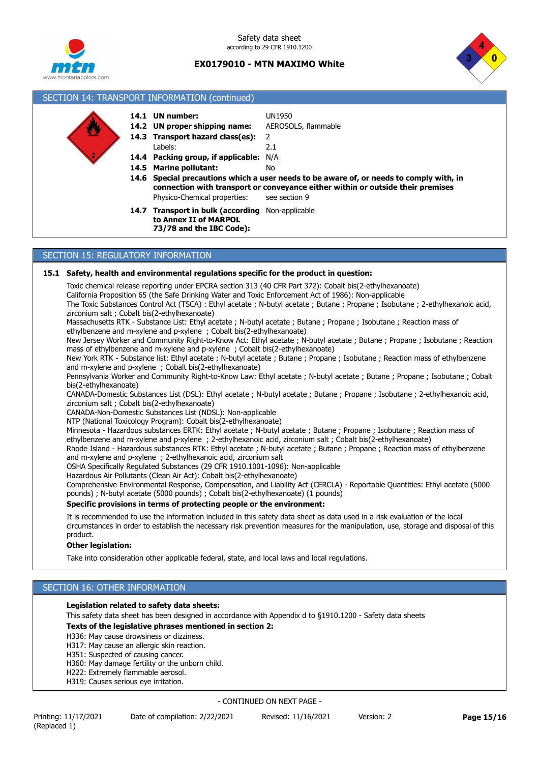



# SECTION 14: TRANSPORT INFORMATION (continued) **14.6 Special precautions which a user needs to be aware of, or needs to comply with, in 14.4 Packing group, if applicable:** N/A **14.3 Transport hazard class(es):** 2 **14.2 UN proper shipping name:** AEROSOLS, flammable **14.1 UN number:** UN1950 Physico-Chemical properties: see section 9 Labels: 2.1 **14.5 Marine pollutant:** No 14.7 Transport in bulk (according Non-applicable **to Annex II of MARPOL 73/78 and the IBC Code): connection with transport or conveyance either within or outside their premises**

# SECTION 15: REGULATORY INFORMATION

### **15.1 Safety, health and environmental regulations specific for the product in question:**

Toxic chemical release reporting under EPCRA section 313 (40 CFR Part 372): Cobalt bis(2-ethylhexanoate) California Proposition 65 (the Safe Drinking Water and Toxic Enforcement Act of 1986): Non-applicable

The Toxic Substances Control Act (TSCA) : Ethyl acetate ; N-butyl acetate ; Butane ; Propane ; Isobutane ; 2-ethylhexanoic acid, zirconium salt ; Cobalt bis(2-ethylhexanoate)

Massachusetts RTK - Substance List: Ethyl acetate ; N-butyl acetate ; Butane ; Propane ; Isobutane ; Reaction mass of ethylbenzene and m-xylene and p-xylene ; Cobalt bis(2-ethylhexanoate)

New Jersey Worker and Community Right-to-Know Act: Ethyl acetate ; N-butyl acetate ; Butane ; Propane ; Isobutane ; Reaction mass of ethylbenzene and m-xylene and p-xylene ; Cobalt bis(2-ethylhexanoate)

New York RTK - Substance list: Ethyl acetate ; N-butyl acetate ; Butane ; Propane ; Isobutane ; Reaction mass of ethylbenzene and m-xylene and p-xylene ; Cobalt bis(2-ethylhexanoate)

Pennsylvania Worker and Community Right-to-Know Law: Ethyl acetate ; N-butyl acetate ; Butane ; Propane ; Isobutane ; Cobalt bis(2-ethylhexanoate)

CANADA-Domestic Substances List (DSL): Ethyl acetate ; N-butyl acetate ; Butane ; Propane ; Isobutane ; 2-ethylhexanoic acid, zirconium salt ; Cobalt bis(2-ethylhexanoate)

CANADA-Non-Domestic Substances List (NDSL): Non-applicable

NTP (National Toxicology Program): Cobalt bis(2-ethylhexanoate)

Minnesota - Hazardous substances ERTK: Ethyl acetate ; N-butyl acetate ; Butane ; Propane ; Isobutane ; Reaction mass of ethylbenzene and m-xylene and p-xylene ; 2-ethylhexanoic acid, zirconium salt ; Cobalt bis(2-ethylhexanoate)

Rhode Island - Hazardous substances RTK: Ethyl acetate ; N-butyl acetate ; Butane ; Propane ; Reaction mass of ethylbenzene and m-xylene and p-xylene ; 2-ethylhexanoic acid, zirconium salt

OSHA Specifically Regulated Substances (29 CFR 1910.1001-1096): Non-applicable

Hazardous Air Pollutants (Clean Air Act): Cobalt bis(2-ethylhexanoate)

Comprehensive Environmental Response, Compensation, and Liability Act (CERCLA) - Reportable Quantities: Ethyl acetate (5000 pounds) ; N-butyl acetate (5000 pounds) ; Cobalt bis(2-ethylhexanoate) (1 pounds)

### **Specific provisions in terms of protecting people or the environment:**

It is recommended to use the information included in this safety data sheet as data used in a risk evaluation of the local circumstances in order to establish the necessary risk prevention measures for the manipulation, use, storage and disposal of this product.

### **Other legislation:**

Take into consideration other applicable federal, state, and local laws and local regulations.

## SECTION 16: OTHER INFORMATION

### **Legislation related to safety data sheets:**

This safety data sheet has been designed in accordance with Appendix d to §1910.1200 - Safety data sheets **Texts of the legislative phrases mentioned in section 2:**

H336: May cause drowsiness or dizziness.

H317: May cause an allergic skin reaction.

H351: Suspected of causing cancer.

H360: May damage fertility or the unborn child.

- H222: Extremely flammable aerosol.
- H319: Causes serious eye irritation.

- CONTINUED ON NEXT PAGE -

Printing: 11/17/2021 Date of compilation: 2/22/2021 Revised: 11/16/2021 Version: 2 **Page 15/16**